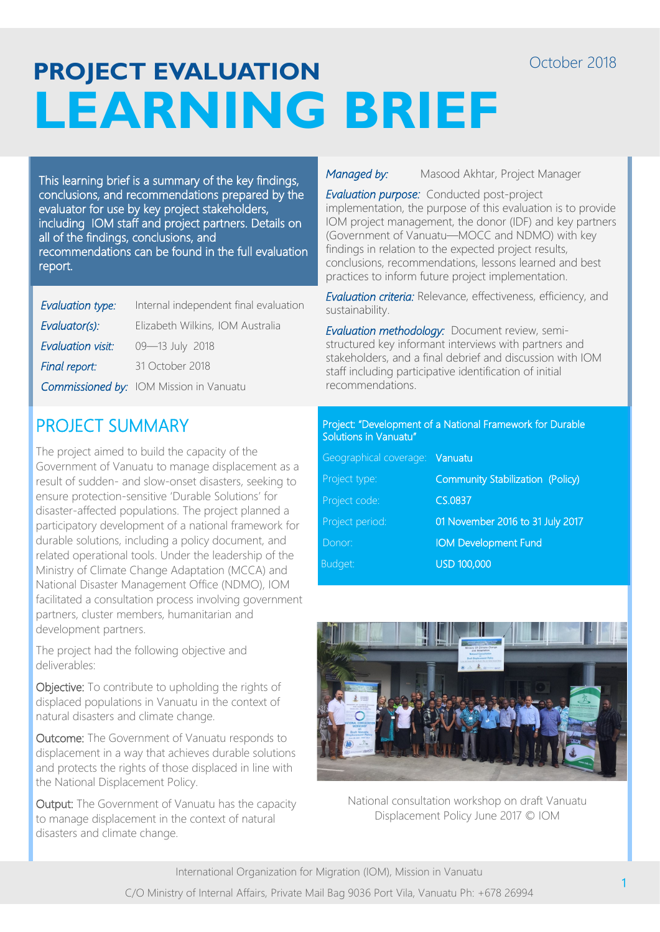# **PROJECT EVALUATION LEARNING BRIEF**

This learning brief is a summary of the key findings, conclusions, and recommendations prepared by the evaluator for use by key project stakeholders, including IOM staff and project partners. Details on all of the findings, conclusions, and recommendations can be found in the full evaluation report.

| Evaluation type:  | Internal independent final evaluation          |
|-------------------|------------------------------------------------|
| Evaluator(s):     | Elizabeth Wilkins, IOM Australia               |
| Evaluation visit: | 09-13 July 2018                                |
| Final report:     | 31 October 2018                                |
|                   | <b>Commissioned by:</b> IOM Mission in Vanuatu |

# PROJECT SUMMARY

The project aimed to build the capacity of the Government of Vanuatu to manage displacement as a result of sudden- and slow-onset disasters, seeking to ensure protection-sensitive 'Durable Solutions' for disaster-affected populations. The project planned a participatory development of a national framework for durable solutions, including a policy document, and related operational tools. Under the leadership of the Ministry of Climate Change Adaptation (MCCA) and National Disaster Management Office (NDMO), IOM facilitated a consultation process involving government partners, cluster members, humanitarian and development partners.

The project had the following objective and deliverables:

Objective: To contribute to upholding the rights of displaced populations in Vanuatu in the context of natural disasters and climate change.

Outcome: The Government of Vanuatu responds to displacement in a way that achieves durable solutions and protects the rights of those displaced in line with the National Displacement Policy.

Output: The Government of Vanuatu has the capacity to manage displacement in the context of natural disasters and climate change.

**Managed by:** Masood Akhtar, Project Manager

*Evaluation purpose:* Conducted post-project implementation, the purpose of this evaluation is to provide IOM project management, the donor (IDF) and key partners (Government of Vanuatu—MOCC and NDMO) with key findings in relation to the expected project results, conclusions, recommendations, lessons learned and best practices to inform future project implementation.

*Evaluation criteria:* Relevance, effectiveness, efficiency, and sustainability.

*Evaluation methodology:* Document review, semistructured key informant interviews with partners and stakeholders, and a final debrief and discussion with IOM staff including participative identification of initial recommendations.

#### Project: "Development of a National Framework for Durable Solutions in Vanuatu"

| Geographical coverage: Vanuatu          |
|-----------------------------------------|
| <b>Community Stabilization (Policy)</b> |
| CS.0837                                 |
| 01 November 2016 to 31 July 2017        |
| <b>IOM Development Fund</b>             |
| <b>USD 100,000</b>                      |
|                                         |



National consultation workshop on draft Vanuatu Displacement Policy June 2017 © IOM